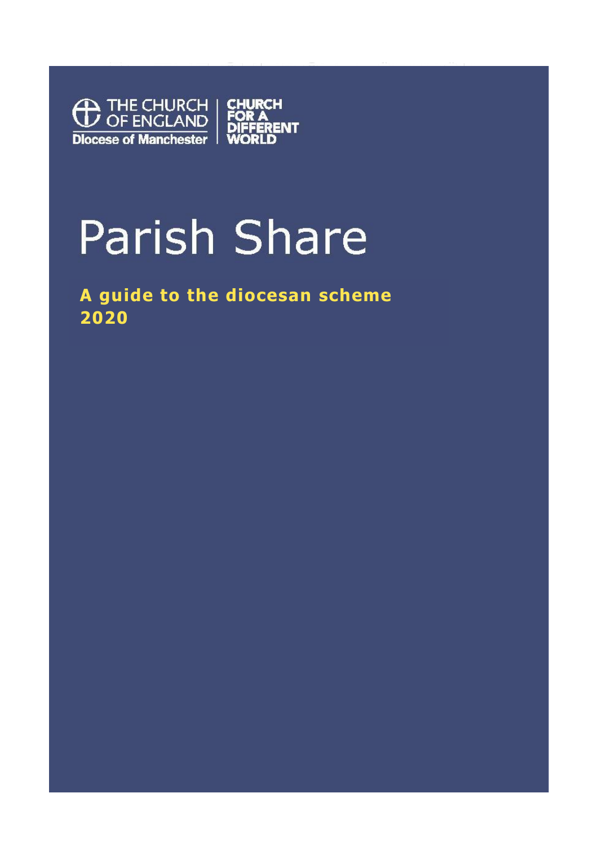

# **Parish Share**

**A guide to the diocesan scheme 2020**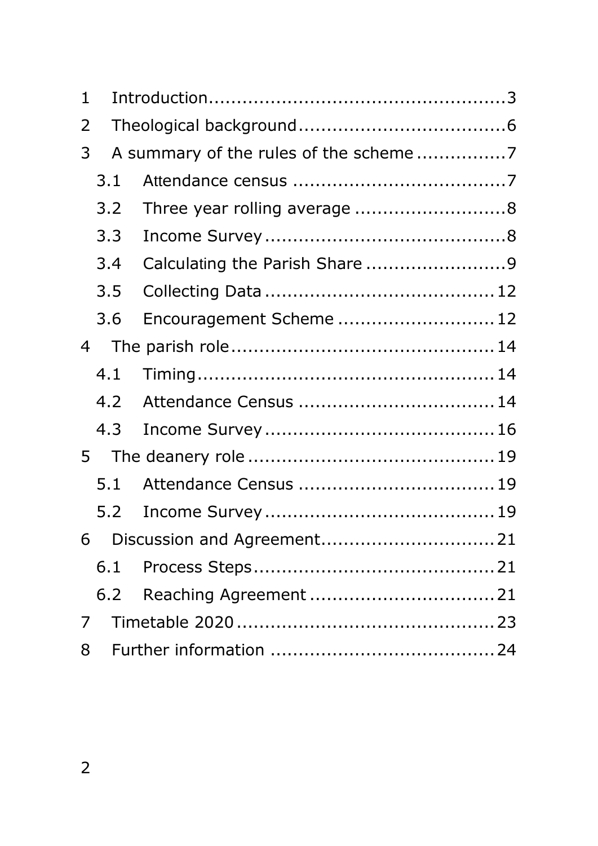| 1              |     |                                       |  |  |  |  |  |
|----------------|-----|---------------------------------------|--|--|--|--|--|
| 2              |     |                                       |  |  |  |  |  |
| 3              |     | A summary of the rules of the scheme7 |  |  |  |  |  |
|                | 3.1 |                                       |  |  |  |  |  |
|                | 3.2 | Three year rolling average 8          |  |  |  |  |  |
|                | 3.3 |                                       |  |  |  |  |  |
|                | 3.4 | Calculating the Parish Share 9        |  |  |  |  |  |
|                | 3.5 |                                       |  |  |  |  |  |
|                | 3.6 | Encouragement Scheme  12              |  |  |  |  |  |
| 4              |     |                                       |  |  |  |  |  |
|                | 4.1 |                                       |  |  |  |  |  |
|                | 4.2 |                                       |  |  |  |  |  |
|                | 4.3 |                                       |  |  |  |  |  |
| 5 <sup>1</sup> |     |                                       |  |  |  |  |  |
|                | 5.1 |                                       |  |  |  |  |  |
|                | 5.2 |                                       |  |  |  |  |  |
| 6              |     |                                       |  |  |  |  |  |
|                | 6.1 |                                       |  |  |  |  |  |
|                | 6.2 |                                       |  |  |  |  |  |
| 7              |     |                                       |  |  |  |  |  |
| 8              |     |                                       |  |  |  |  |  |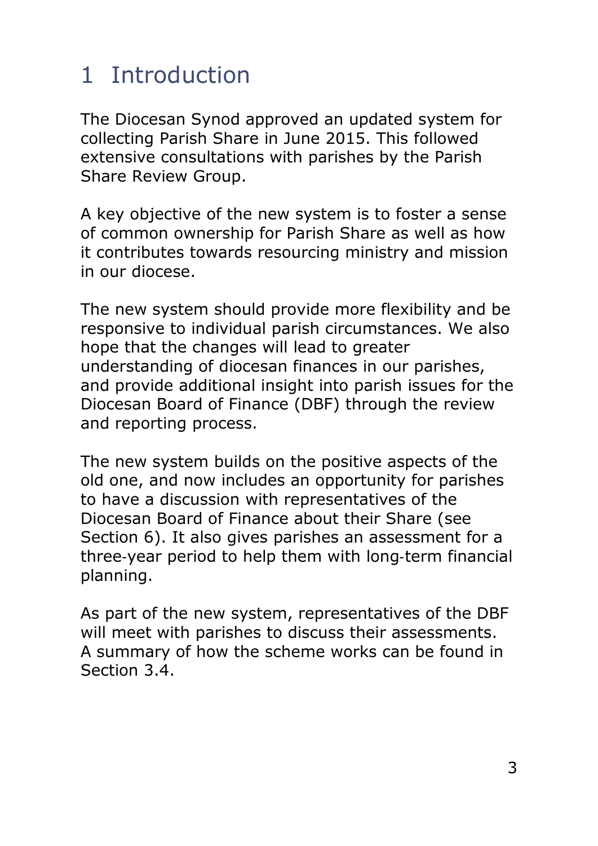# <span id="page-2-0"></span>1 Introduction

The Diocesan Synod approved an updated system for collecting Parish Share in June 2015. This followed extensive consultations with parishes by the Parish Share Review Group.

A key objective of the new system is to foster a sense of common ownership for Parish Share as well as how it contributes towards resourcing ministry and mission in our diocese.

The new system should provide more flexibility and be responsive to individual parish circumstances. We also hope that the changes will lead to greater understanding of diocesan finances in our parishes, and provide additional insight into parish issues for the Diocesan Board of Finance (DBF) through the review and reporting process.

The new system builds on the positive aspects of the old one, and now includes an opportunity for parishes to have a discussion with representatives of the Diocesan Board of Finance about their Share (see Section [6\)](#page-20-0). It also gives parishes an assessment for a three‐year period to help them with long‐term financial planning.

As part of the new system, representatives of the DBF will meet with parishes to discuss their assessments. A summary of how the scheme works can be found in Section [3.4.](#page-8-0)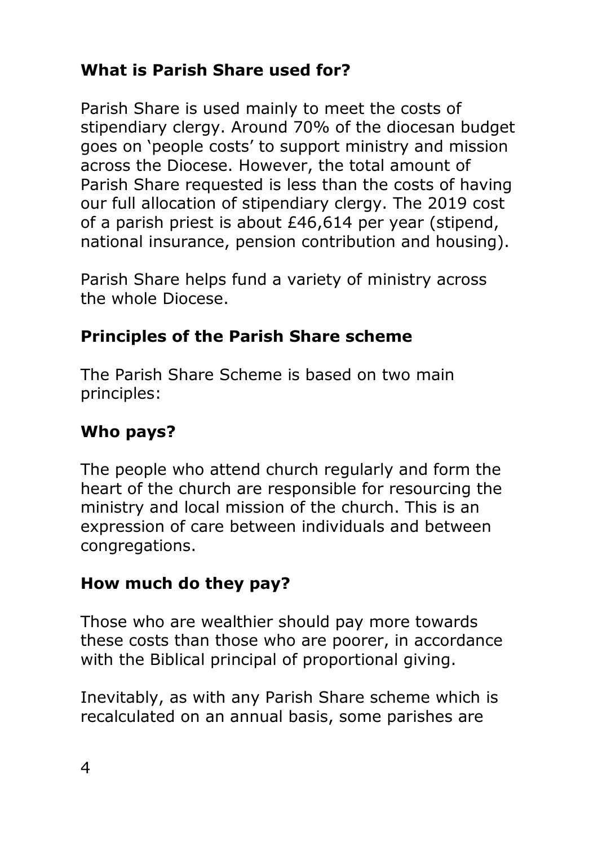#### **What is Parish Share used for?**

Parish Share is used mainly to meet the costs of stipendiary clergy. Around 70% of the diocesan budget goes on 'people costs' to support ministry and mission across the Diocese. However, the total amount of Parish Share requested is less than the costs of having our full allocation of stipendiary clergy. The 2019 cost of a parish priest is about £46,614 per year (stipend, national insurance, pension contribution and housing).

Parish Share helps fund a variety of ministry across the whole Diocese.

#### **Principles of the Parish Share scheme**

The Parish Share Scheme is based on two main principles:

#### **Who pays?**

The people who attend church regularly and form the heart of the church are responsible for resourcing the ministry and local mission of the church. This is an expression of care between individuals and between congregations.

#### **How much do they pay?**

Those who are wealthier should pay more towards these costs than those who are poorer, in accordance with the Biblical principal of proportional giving.

Inevitably, as with any Parish Share scheme which is recalculated on an annual basis, some parishes are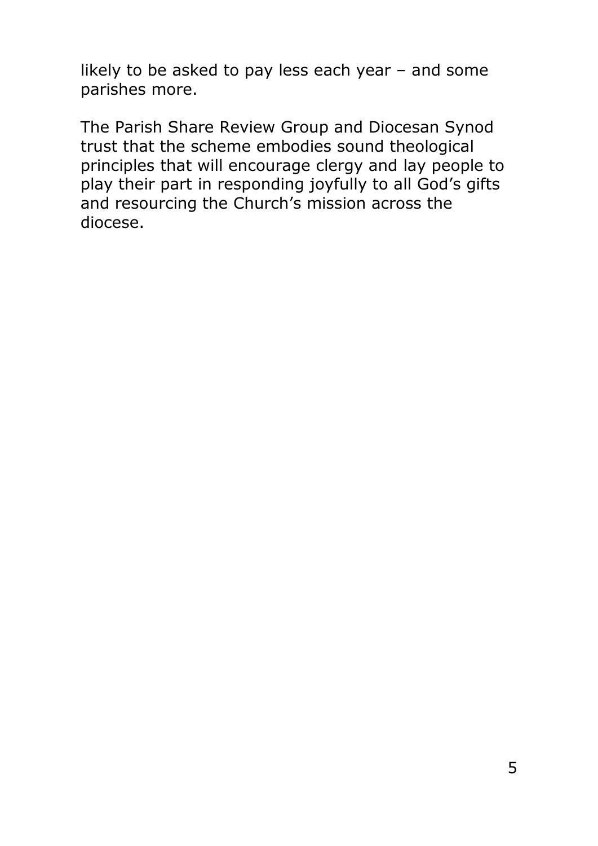likely to be asked to pay less each year – and some parishes more.

The Parish Share Review Group and Diocesan Synod trust that the scheme embodies sound theological principles that will encourage clergy and lay people to play their part in responding joyfully to all God's gifts and resourcing the Church's mission across the diocese.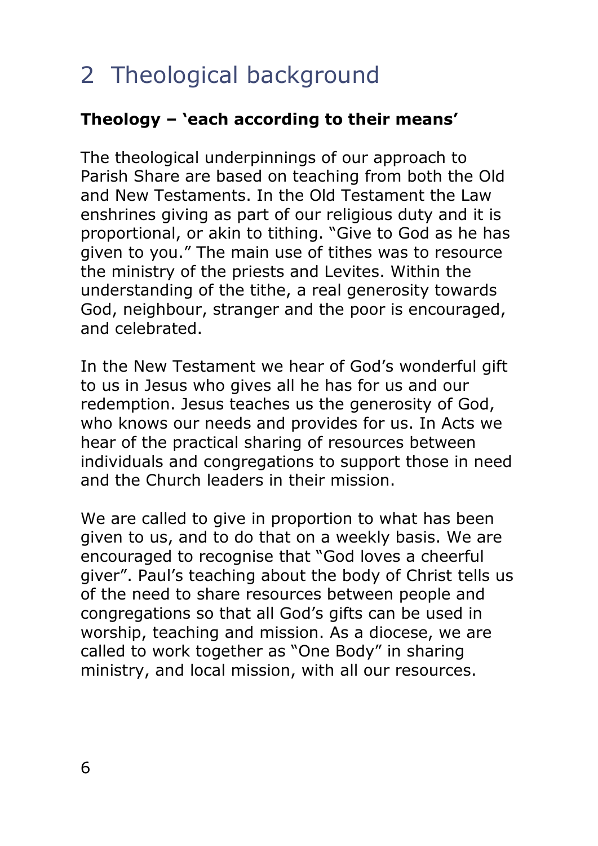# <span id="page-5-0"></span>2 Theological background

#### **Theology – 'each according to their means'**

The theological underpinnings of our approach to Parish Share are based on teaching from both the Old and New Testaments. In the Old Testament the Law enshrines giving as part of our religious duty and it is proportional, or akin to tithing. "Give to God as he has given to you." The main use of tithes was to resource the ministry of the priests and Levites. Within the understanding of the tithe, a real generosity towards God, neighbour, stranger and the poor is encouraged, and celebrated.

In the New Testament we hear of God's wonderful gift to us in Jesus who gives all he has for us and our redemption. Jesus teaches us the generosity of God, who knows our needs and provides for us. In Acts we hear of the practical sharing of resources between individuals and congregations to support those in need and the Church leaders in their mission.

We are called to give in proportion to what has been given to us, and to do that on a weekly basis. We are encouraged to recognise that "God loves a cheerful giver". Paul's teaching about the body of Christ tells us of the need to share resources between people and congregations so that all God's gifts can be used in worship, teaching and mission. As a diocese, we are called to work together as "One Body" in sharing ministry, and local mission, with all our resources.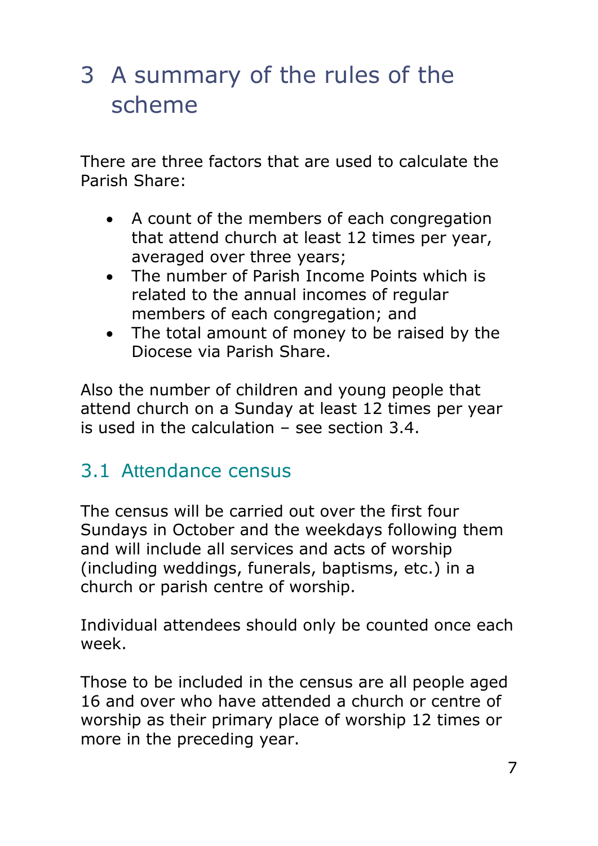# <span id="page-6-0"></span>3 A summary of the rules of the scheme

There are three factors that are used to calculate the Parish Share:

- A count of the members of each congregation that attend church at least 12 times per year, averaged over three years;
- The number of Parish Income Points which is related to the annual incomes of regular members of each congregation; and
- The total amount of money to be raised by the Diocese via Parish Share.

Also the number of children and young people that attend church on a Sunday at least 12 times per year is used in the calculation – see section [3.4.](#page-8-0)

## <span id="page-6-1"></span>3.1 Attendance census

The census will be carried out over the first four Sundays in October and the weekdays following them and will include all services and acts of worship (including weddings, funerals, baptisms, etc.) in a church or parish centre of worship.

Individual attendees should only be counted once each week.

Those to be included in the census are all people aged 16 and over who have attended a church or centre of worship as their primary place of worship 12 times or more in the preceding year.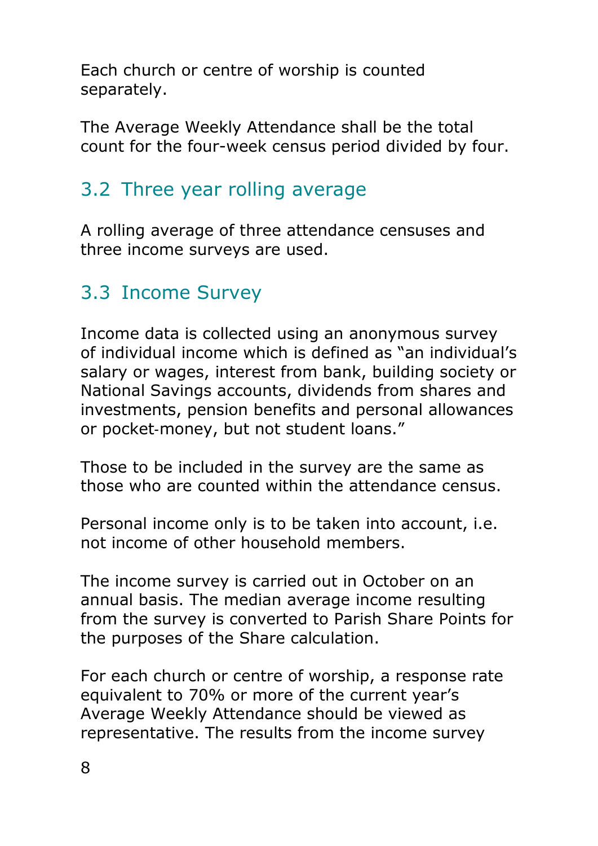Each church or centre of worship is counted separately.

The Average Weekly Attendance shall be the total count for the four-week census period divided by four.

## <span id="page-7-0"></span>3.2 Three year rolling average

A rolling average of three attendance censuses and three income surveys are used.

#### <span id="page-7-1"></span>3.3 Income Survey

Income data is collected using an anonymous survey of individual income which is defined as "an individual's salary or wages, interest from bank, building society or National Savings accounts, dividends from shares and investments, pension benefits and personal allowances or pocket‐money, but not student loans."

Those to be included in the survey are the same as those who are counted within the attendance census.

Personal income only is to be taken into account, i.e. not income of other household members.

The income survey is carried out in October on an annual basis. The median average income resulting from the survey is converted to Parish Share Points for the purposes of the Share calculation.

For each church or centre of worship, a response rate equivalent to 70% or more of the current year's Average Weekly Attendance should be viewed as representative. The results from the income survey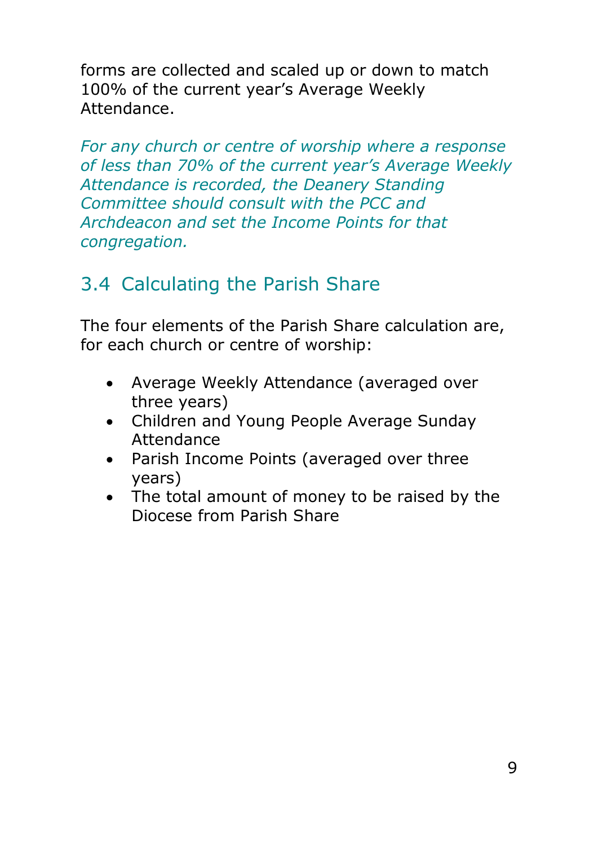forms are collected and scaled up or down to match 100% of the current year's Average Weekly Attendance.

*For any church or centre of worship where a response of less than 70% of the current year's Average Weekly Attendance is recorded, the Deanery Standing Committee should consult with the PCC and Archdeacon and set the Income Points for that congregation.*

## <span id="page-8-0"></span>3.4 Calculating the Parish Share

The four elements of the Parish Share calculation are, for each church or centre of worship:

- Average Weekly Attendance (averaged over three years)
- Children and Young People Average Sunday Attendance
- Parish Income Points (averaged over three years)
- The total amount of money to be raised by the Diocese from Parish Share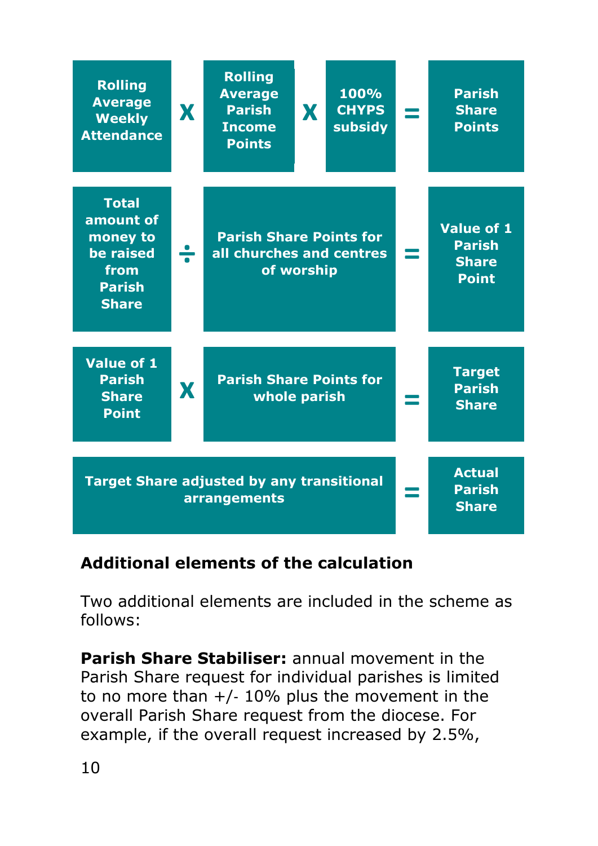| <b>Rolling</b><br><b>Average</b><br><b>Weekly</b><br><b>Attendance</b>                                                    | X | <b>Rolling</b><br><b>Average</b><br><b>Parish</b><br><b>Income</b><br><b>Points</b> | X. | 100%<br><b>CHYPS</b><br>subsidy |                                                | <b>Parish</b><br><b>Share</b><br><b>Points</b>              |
|---------------------------------------------------------------------------------------------------------------------------|---|-------------------------------------------------------------------------------------|----|---------------------------------|------------------------------------------------|-------------------------------------------------------------|
| <b>Total</b><br>amount of<br>money to<br>be raised<br>from<br><b>Parish</b><br><b>Share</b>                               | ÷ | <b>Parish Share Points for</b><br>all churches and centres<br>of worship            |    |                                 |                                                | Value of 1<br><b>Parish</b><br><b>Share</b><br><b>Point</b> |
| Value of 1<br><b>Parish</b><br><b>Share</b><br><b>Point</b>                                                               | X | <b>Parish Share Points for</b><br>whole parish                                      |    |                                 | <b>Target</b><br><b>Parish</b><br><b>Share</b> |                                                             |
| <b>Actual</b><br><b>Target Share adjusted by any transitional</b><br><b>Parish</b><br><b>arrangements</b><br><b>Share</b> |   |                                                                                     |    |                                 |                                                |                                                             |

**Additional elements of the calculation**

Two additional elements are included in the scheme as follows:

**Parish Share Stabiliser:** annual movement in the Parish Share request for individual parishes is limited to no more than  $+/$ - 10% plus the movement in the overall Parish Share request from the diocese. For example, if the overall request increased by 2.5%,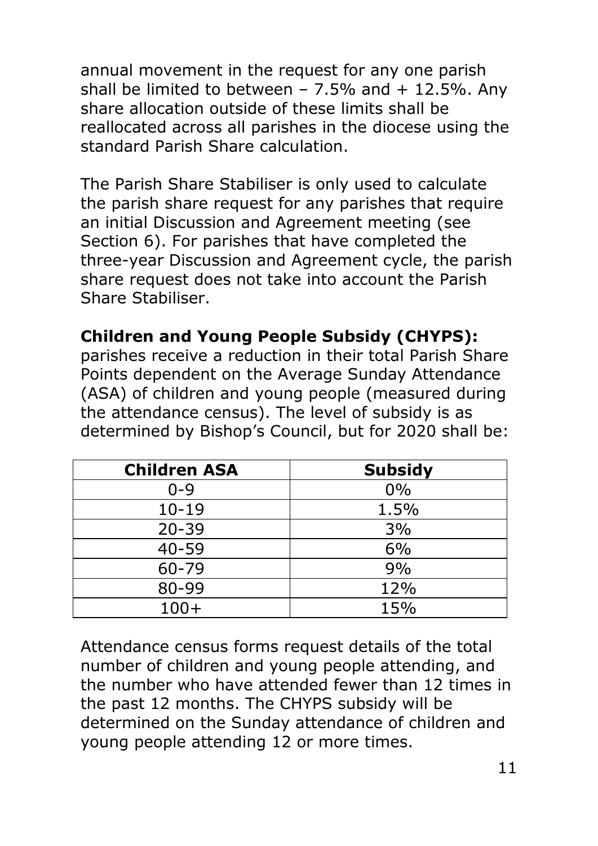annual movement in the request for any one parish shall be limited to between  $-7.5%$  and  $+12.5%$ . Any share allocation outside of these limits shall be reallocated across all parishes in the diocese using the standard Parish Share calculation.

The Parish Share Stabiliser is only used to calculate the parish share request for any parishes that require an initial Discussion and Agreement meeting (see Section [6\)](#page-20-0). For parishes that have completed the three-year Discussion and Agreement cycle, the parish share request does not take into account the Parish Share Stabiliser.

#### **Children and Young People Subsidy (CHYPS):**

parishes receive a reduction in their total Parish Share Points dependent on the Average Sunday Attendance (ASA) of children and young people (measured during the attendance census). The level of subsidy is as determined by Bishop's Council, but for 2020 shall be:

| <b>Children ASA</b> | <b>Subsidy</b> |
|---------------------|----------------|
| $0 - 9$             | 0%             |
| $10 - 19$           | 1.5%           |
| $20 - 39$           | 3%             |
| $40 - 59$           | 6%             |
| 60-79               | 9%             |
| 80-99               | 12%            |
| $100+$              | 15%            |

Attendance census forms request details of the total number of children and young people attending, and the number who have attended fewer than 12 times in the past 12 months. The CHYPS subsidy will be determined on the Sunday attendance of children and young people attending 12 or more times.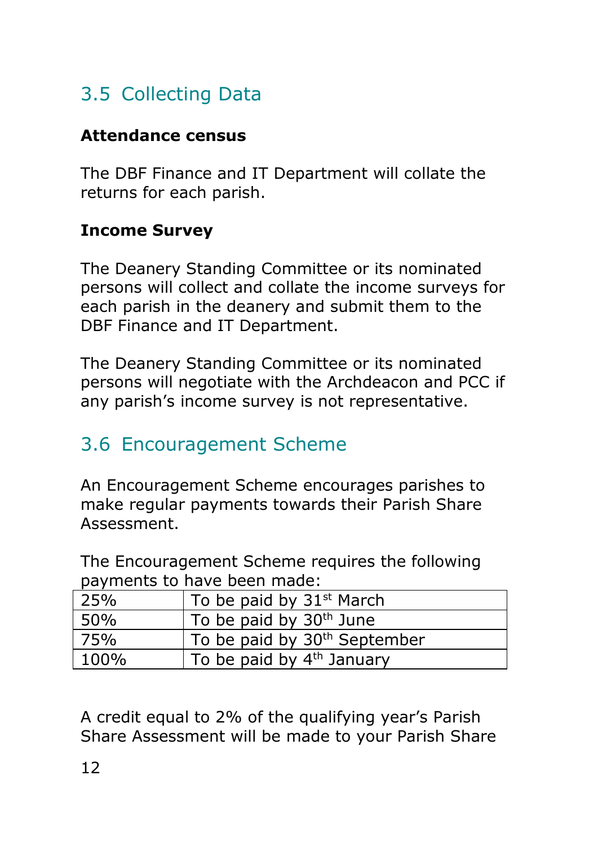## <span id="page-11-0"></span>3.5 Collecting Data

#### **Attendance census**

The DBF Finance and IT Department will collate the returns for each parish.

#### **Income Survey**

The Deanery Standing Committee or its nominated persons will collect and collate the income surveys for each parish in the deanery and submit them to the DBF Finance and IT Department.

The Deanery Standing Committee or its nominated persons will negotiate with the Archdeacon and PCC if any parish's income survey is not representative.

## <span id="page-11-1"></span>3.6 Encouragement Scheme

An Encouragement Scheme encourages parishes to make regular payments towards their Parish Share Assessment.

The Encouragement Scheme requires the following payments to have been made:

| 25%  | To be paid by $31st$ March               |
|------|------------------------------------------|
| 50%  | To be paid by 30 <sup>th</sup> June      |
| 75%  | To be paid by 30 <sup>th</sup> September |
| 100% | To be paid by 4 <sup>th</sup> January    |

A credit equal to 2% of the qualifying year's Parish Share Assessment will be made to your Parish Share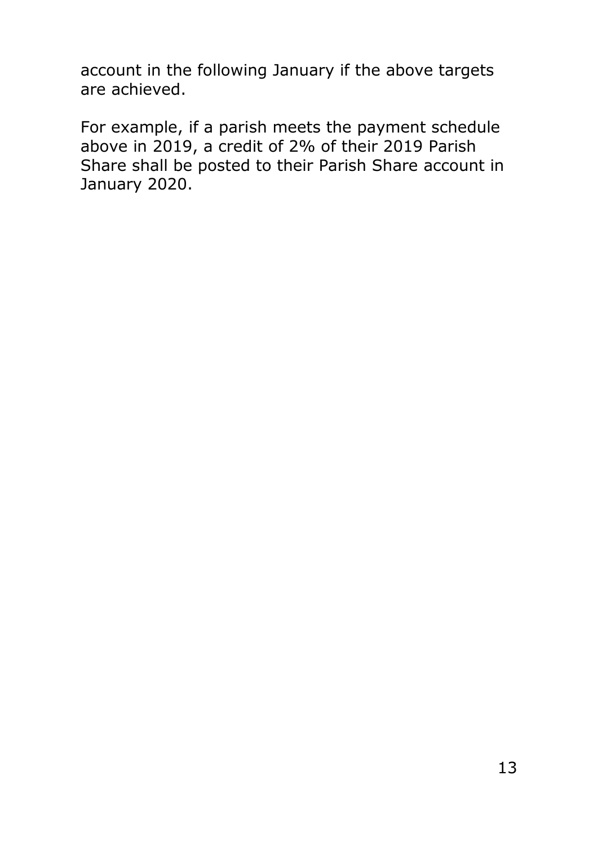account in the following January if the above targets are achieved.

For example, if a parish meets the payment schedule above in 2019, a credit of 2% of their 2019 Parish Share shall be posted to their Parish Share account in January 2020.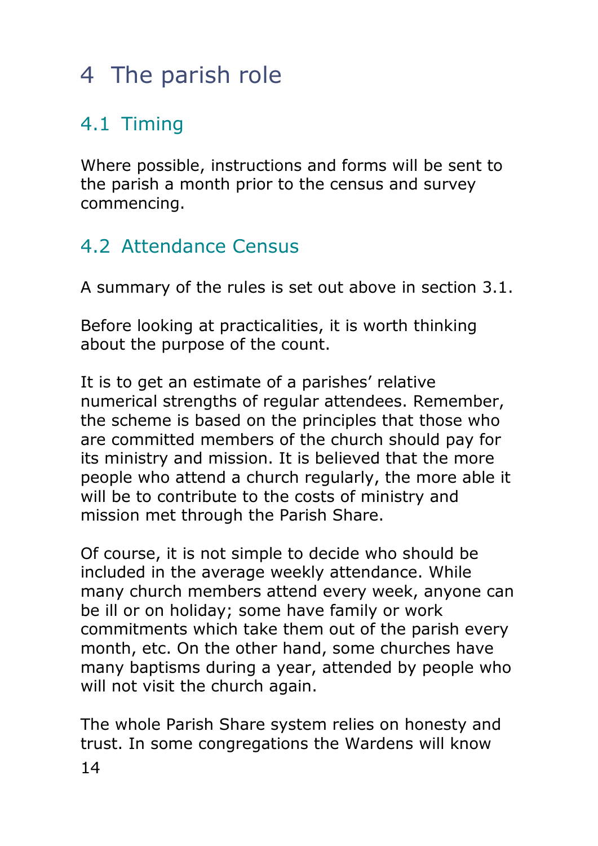# <span id="page-13-0"></span>4 The parish role

## <span id="page-13-1"></span>4.1 Timing

Where possible, instructions and forms will be sent to the parish a month prior to the census and survey commencing.

## <span id="page-13-2"></span>4.2 Attendance Census

A summary of the rules is set out above in section [3.1.](#page-6-1)

Before looking at practicalities, it is worth thinking about the purpose of the count.

It is to get an estimate of a parishes' relative numerical strengths of regular attendees. Remember, the scheme is based on the principles that those who are committed members of the church should pay for its ministry and mission. It is believed that the more people who attend a church regularly, the more able it will be to contribute to the costs of ministry and mission met through the Parish Share.

Of course, it is not simple to decide who should be included in the average weekly attendance. While many church members attend every week, anyone can be ill or on holiday; some have family or work commitments which take them out of the parish every month, etc. On the other hand, some churches have many baptisms during a year, attended by people who will not visit the church again.

The whole Parish Share system relies on honesty and trust. In some congregations the Wardens will know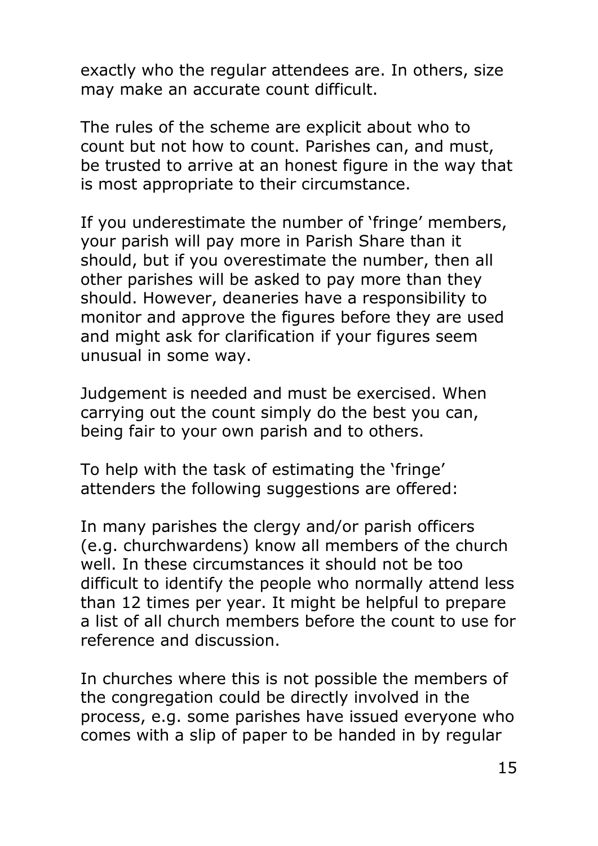exactly who the regular attendees are. In others, size may make an accurate count difficult.

The rules of the scheme are explicit about who to count but not how to count. Parishes can, and must, be trusted to arrive at an honest figure in the way that is most appropriate to their circumstance.

If you underestimate the number of 'fringe' members, your parish will pay more in Parish Share than it should, but if you overestimate the number, then all other parishes will be asked to pay more than they should. However, deaneries have a responsibility to monitor and approve the figures before they are used and might ask for clarification if your figures seem unusual in some way.

Judgement is needed and must be exercised. When carrying out the count simply do the best you can, being fair to your own parish and to others.

To help with the task of estimating the 'fringe' attenders the following suggestions are offered:

In many parishes the clergy and/or parish officers (e.g. churchwardens) know all members of the church well. In these circumstances it should not be too difficult to identify the people who normally attend less than 12 times per year. It might be helpful to prepare a list of all church members before the count to use for reference and discussion.

In churches where this is not possible the members of the congregation could be directly involved in the process, e.g. some parishes have issued everyone who comes with a slip of paper to be handed in by regular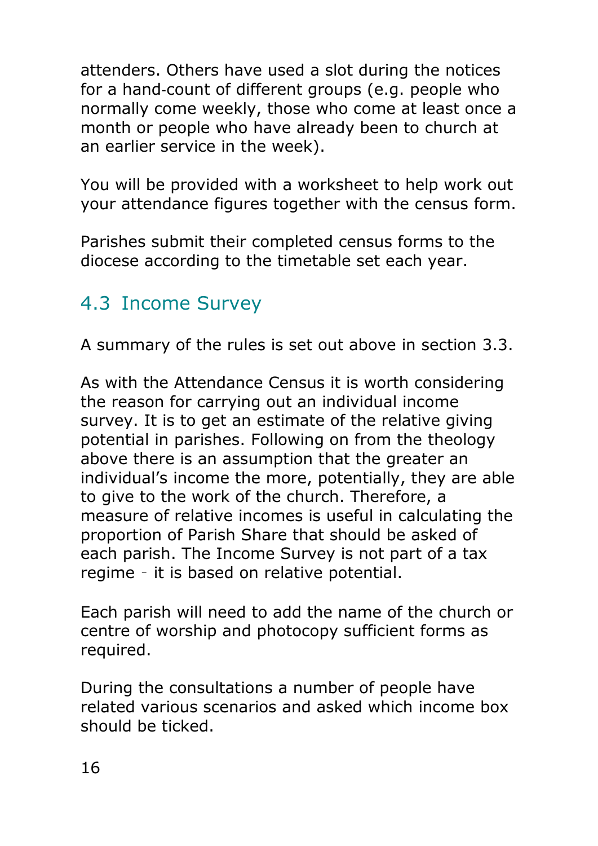attenders. Others have used a slot during the notices for a hand‐count of different groups (e.g. people who normally come weekly, those who come at least once a month or people who have already been to church at an earlier service in the week).

You will be provided with a worksheet to help work out your attendance figures together with the census form.

Parishes submit their completed census forms to the diocese according to the timetable set each year.

#### <span id="page-15-0"></span>4.3 Income Survey

A summary of the rules is set out above in section [3.3.](#page-7-1)

As with the Attendance Census it is worth considering the reason for carrying out an individual income survey. It is to get an estimate of the relative giving potential in parishes. Following on from the theology above there is an assumption that the greater an individual's income the more, potentially, they are able to give to the work of the church. Therefore, a measure of relative incomes is useful in calculating the proportion of Parish Share that should be asked of each parish. The Income Survey is not part of a tax regime – it is based on relative potential.

Each parish will need to add the name of the church or centre of worship and photocopy sufficient forms as required.

During the consultations a number of people have related various scenarios and asked which income box should be ticked.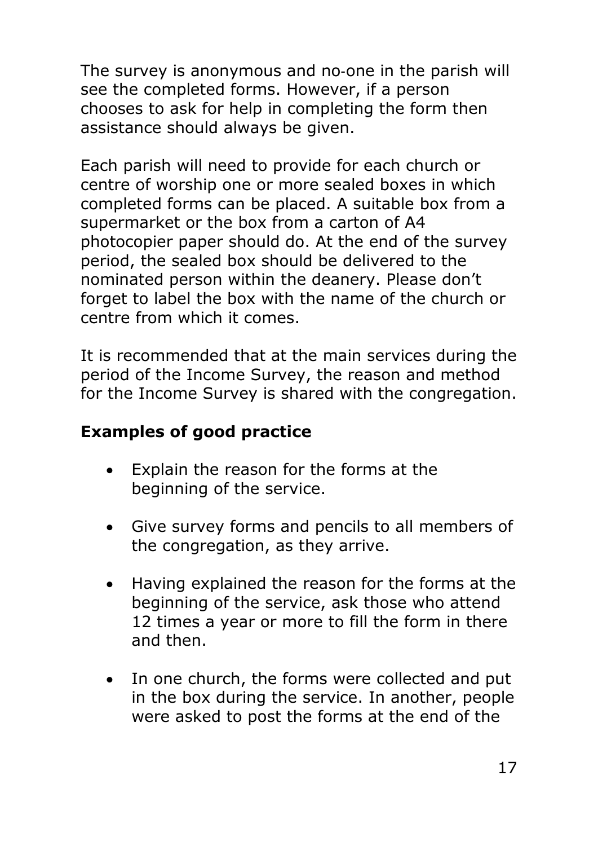The survey is anonymous and no‐one in the parish will see the completed forms. However, if a person chooses to ask for help in completing the form then assistance should always be given.

Each parish will need to provide for each church or centre of worship one or more sealed boxes in which completed forms can be placed. A suitable box from a supermarket or the box from a carton of A4 photocopier paper should do. At the end of the survey period, the sealed box should be delivered to the nominated person within the deanery. Please don't forget to label the box with the name of the church or centre from which it comes.

It is recommended that at the main services during the period of the Income Survey, the reason and method for the Income Survey is shared with the congregation.

#### **Examples of good practice**

- Explain the reason for the forms at the beginning of the service.
- Give survey forms and pencils to all members of the congregation, as they arrive.
- Having explained the reason for the forms at the beginning of the service, ask those who attend 12 times a year or more to fill the form in there and then.
- In one church, the forms were collected and put in the box during the service. In another, people were asked to post the forms at the end of the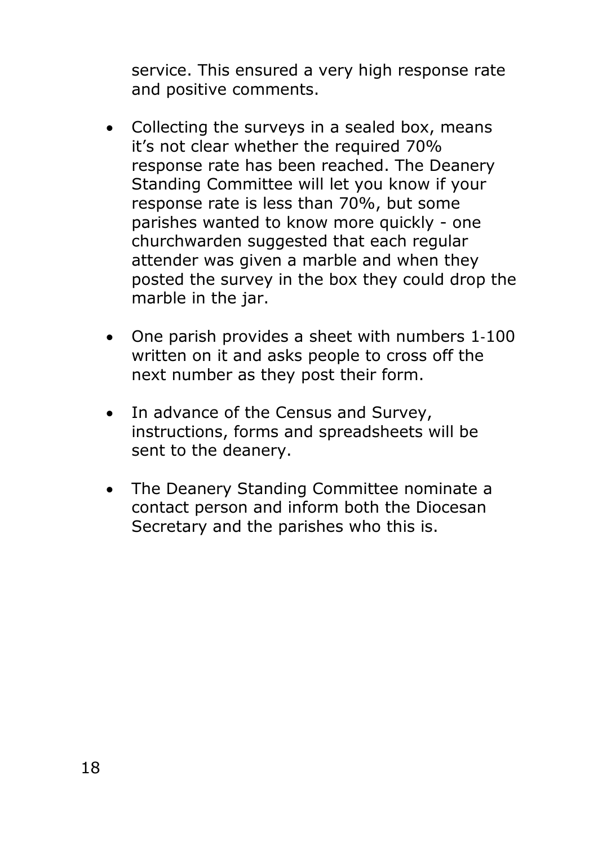service. This ensured a very high response rate and positive comments.

- Collecting the surveys in a sealed box, means it's not clear whether the required 70% response rate has been reached. The Deanery Standing Committee will let you know if your response rate is less than 70%, but some parishes wanted to know more quickly - one churchwarden suggested that each regular attender was given a marble and when they posted the survey in the box they could drop the marble in the jar.
- One parish provides a sheet with numbers 1‐100 written on it and asks people to cross off the next number as they post their form.
- In advance of the Census and Survey, instructions, forms and spreadsheets will be sent to the deanery.
- The Deanery Standing Committee nominate a contact person and inform both the Diocesan Secretary and the parishes who this is.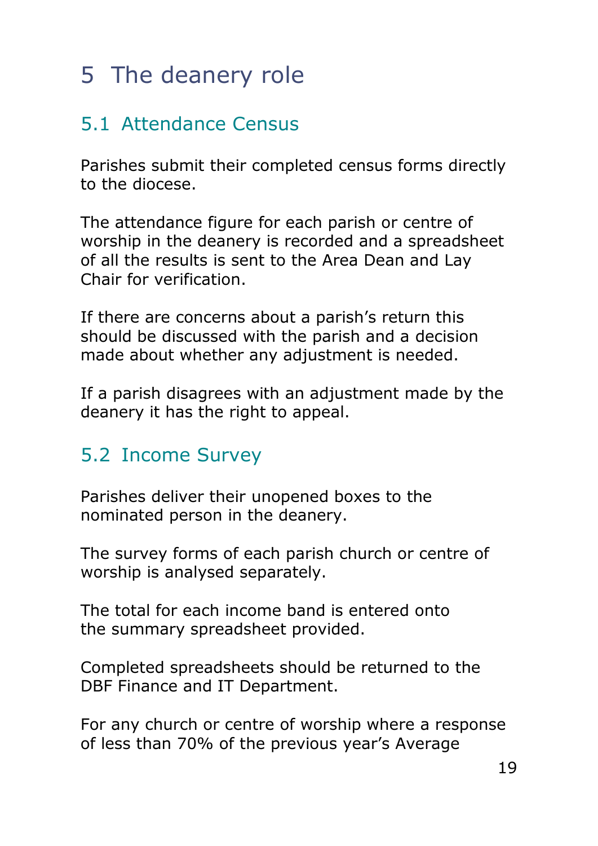# <span id="page-18-0"></span>5 The deanery role

## <span id="page-18-1"></span>5.1 Attendance Census

Parishes submit their completed census forms directly to the diocese.

The attendance figure for each parish or centre of worship in the deanery is recorded and a spreadsheet of all the results is sent to the Area Dean and Lay Chair for verification.

If there are concerns about a parish's return this should be discussed with the parish and a decision made about whether any adjustment is needed.

If a parish disagrees with an adjustment made by the deanery it has the right to appeal.

## <span id="page-18-2"></span>5.2 Income Survey

Parishes deliver their unopened boxes to the nominated person in the deanery.

The survey forms of each parish church or centre of worship is analysed separately.

The total for each income band is entered onto the summary spreadsheet provided.

Completed spreadsheets should be returned to the DBF Finance and IT Department.

For any church or centre of worship where a response of less than 70% of the previous year's Average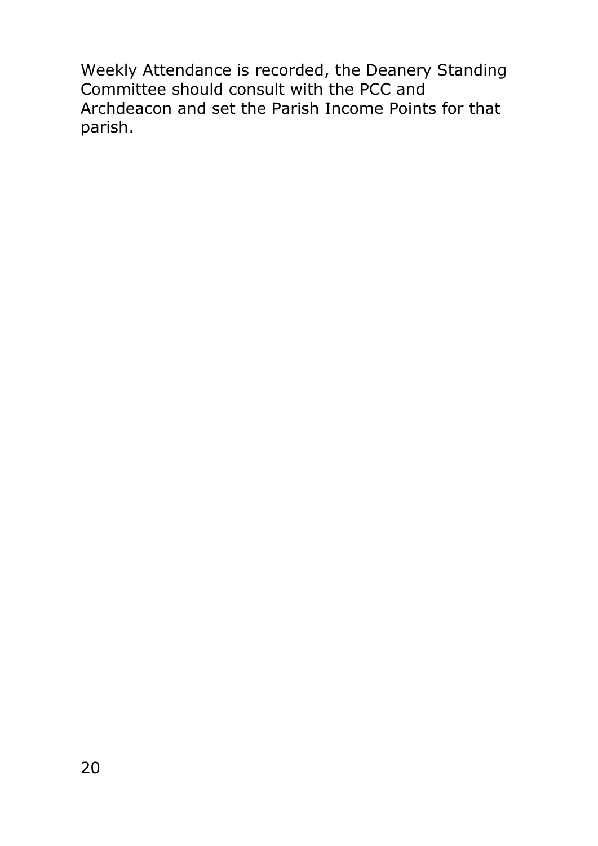Weekly Attendance is recorded, the Deanery Standing Committee should consult with the PCC and Archdeacon and set the Parish Income Points for that parish.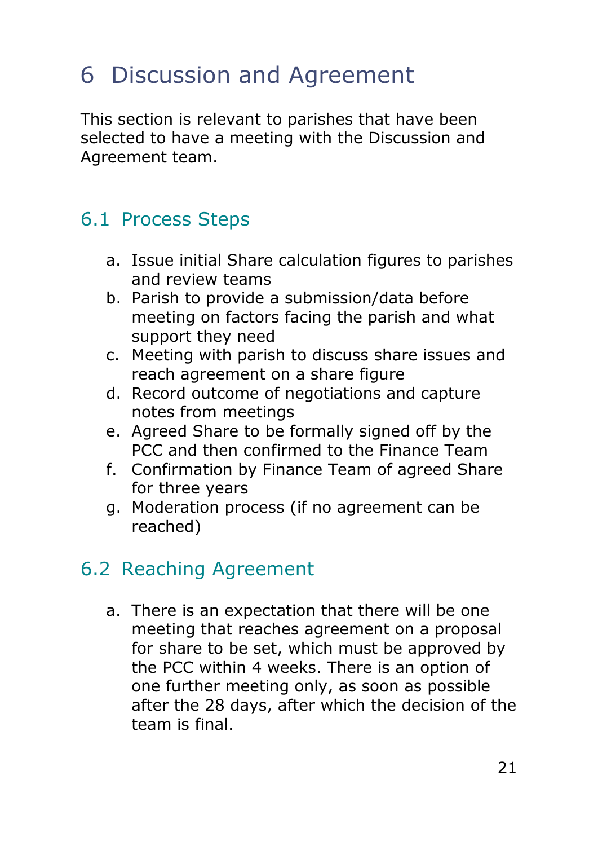# <span id="page-20-0"></span>6 Discussion and Agreement

This section is relevant to parishes that have been selected to have a meeting with the Discussion and Agreement team.

## <span id="page-20-1"></span>6.1 Process Steps

- a. Issue initial Share calculation figures to parishes and review teams
- b. Parish to provide a submission/data before meeting on factors facing the parish and what support they need
- c. Meeting with parish to discuss share issues and reach agreement on a share figure
- d. Record outcome of negotiations and capture notes from meetings
- e. Agreed Share to be formally signed off by the PCC and then confirmed to the Finance Team
- f. Confirmation by Finance Team of agreed Share for three years
- g. Moderation process (if no agreement can be reached)

## <span id="page-20-2"></span>6.2 Reaching Agreement

a. There is an expectation that there will be one meeting that reaches agreement on a proposal for share to be set, which must be approved by the PCC within 4 weeks. There is an option of one further meeting only, as soon as possible after the 28 days, after which the decision of the team is final.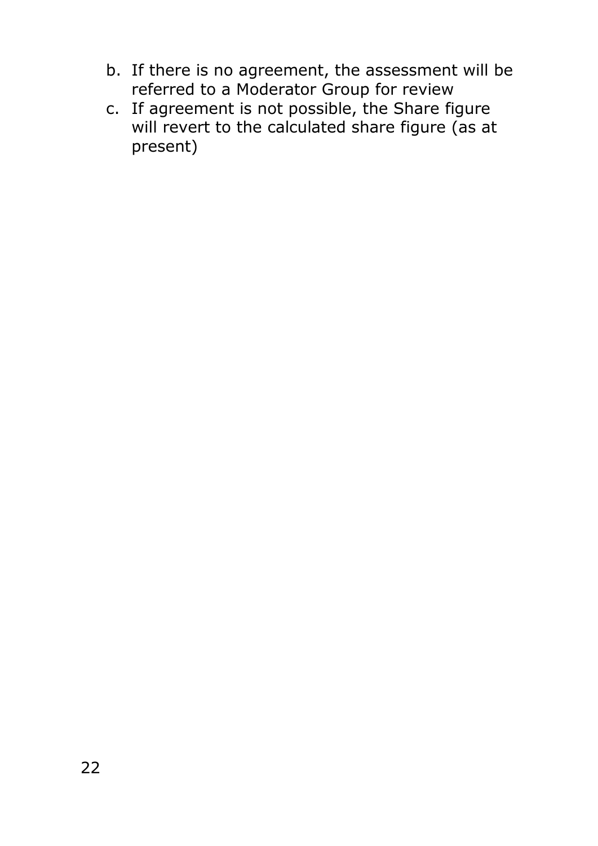- b. If there is no agreement, the assessment will be referred to a Moderator Group for review
- c. If agreement is not possible, the Share figure will revert to the calculated share figure (as at present)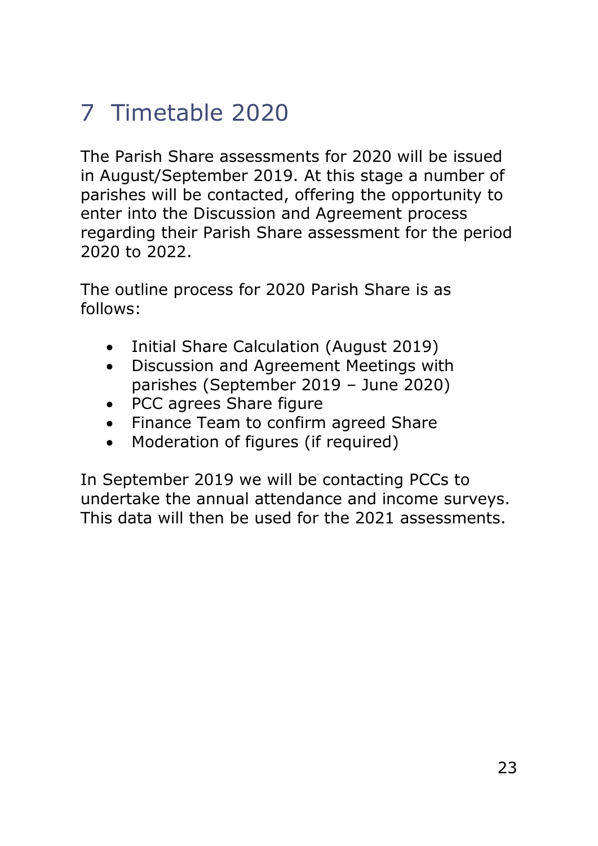# <span id="page-22-0"></span>7 Timetable 2020

The Parish Share assessments for 2020 will be issued in August/September 2019. At this stage a number of parishes will be contacted, offering the opportunity to enter into the Discussion and Agreement process regarding their Parish Share assessment for the period 2020 to 2022.

The outline process for 2020 Parish Share is as follows:

- Initial Share Calculation (August 2019)
- Discussion and Agreement Meetings with parishes (September 2019 – June 2020)
- PCC agrees Share figure
- Finance Team to confirm agreed Share
- Moderation of figures (if required)

In September 2019 we will be contacting PCCs to undertake the annual attendance and income surveys. This data will then be used for the 2021 assessments.